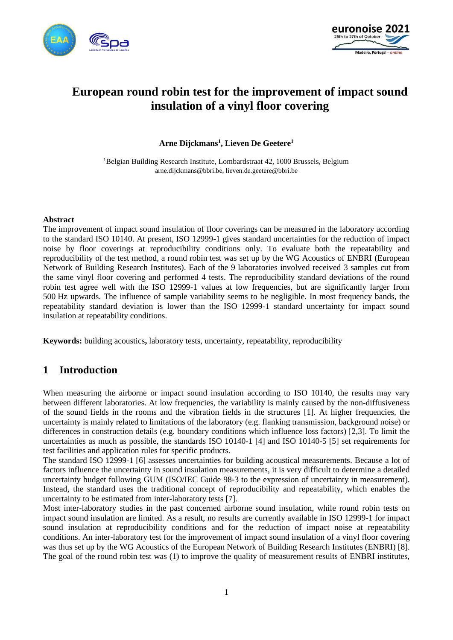



# **European round robin test for the improvement of impact sound insulation of a vinyl floor covering**

**Arne Dijckmans<sup>1</sup> , Lieven De Geetere<sup>1</sup>**

<sup>1</sup>Belgian Building Research Institute, Lombardstraat 42, 1000 Brussels, Belgium arne.dijckmans@bbri.be, lieven.de.geetere@bbri.be

### **Abstract**

The improvement of impact sound insulation of floor coverings can be measured in the laboratory according to the standard ISO 10140. At present, ISO 12999-1 gives standard uncertainties for the reduction of impact noise by floor coverings at reproducibility conditions only. To evaluate both the repeatability and reproducibility of the test method, a round robin test was set up by the WG Acoustics of ENBRI (European Network of Building Research Institutes). Each of the 9 laboratories involved received 3 samples cut from the same vinyl floor covering and performed 4 tests. The reproducibility standard deviations of the round robin test agree well with the ISO 12999-1 values at low frequencies, but are significantly larger from 500 Hz upwards. The influence of sample variability seems to be negligible. In most frequency bands, the repeatability standard deviation is lower than the ISO 12999-1 standard uncertainty for impact sound insulation at repeatability conditions.

**Keywords:** building acoustics**,** laboratory tests, uncertainty, repeatability, reproducibility

# **1 Introduction**

When measuring the airborne or impact sound insulation according to ISO 10140, the results may vary between different laboratories. At low frequencies, the variability is mainly caused by the non-diffusiveness of the sound fields in the rooms and the vibration fields in the structures [1]. At higher frequencies, the uncertainty is mainly related to limitations of the laboratory (e.g. flanking transmission, background noise) or differences in construction details (e.g. boundary conditions which influence loss factors) [2,3]. To limit the uncertainties as much as possible, the standards ISO 10140-1 [4] and ISO 10140-5 [5] set requirements for test facilities and application rules for specific products.

The standard ISO 12999-1 [6] assesses uncertainties for building acoustical measurements. Because a lot of factors influence the uncertainty in sound insulation measurements, it is very difficult to determine a detailed uncertainty budget following GUM (ISO/IEC Guide 98-3 to the expression of uncertainty in measurement). Instead, the standard uses the traditional concept of reproducibility and repeatability, which enables the uncertainty to be estimated from inter-laboratory tests [7].

Most inter-laboratory studies in the past concerned airborne sound insulation, while round robin tests on impact sound insulation are limited. As a result, no results are currently available in ISO 12999-1 for impact sound insulation at reproducibility conditions and for the reduction of impact noise at repeatability conditions. An inter-laboratory test for the improvement of impact sound insulation of a vinyl floor covering was thus set up by the WG Acoustics of the European Network of Building Research Institutes (ENBRI) [8]. The goal of the round robin test was (1) to improve the quality of measurement results of ENBRI institutes,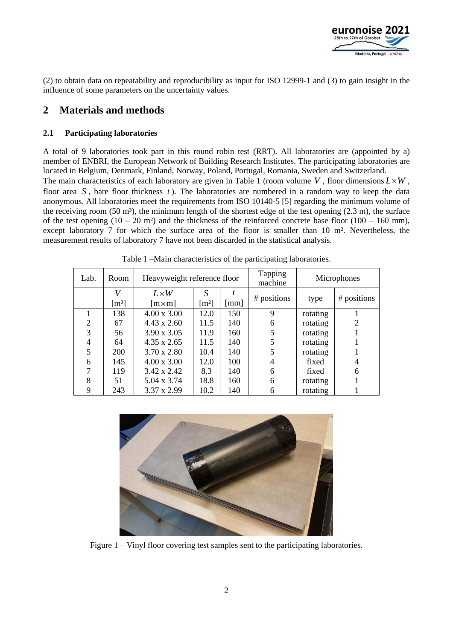

(2) to obtain data on repeatability and reproducibility as input for ISO 12999-1 and (3) to gain insight in the influence of some parameters on the uncertainty values.

# **2 Materials and methods**

### **2.1 Participating laboratories**

A total of 9 laboratories took part in this round robin test (RRT). All laboratories are (appointed by a) member of ENBRI, the European Network of Building Research Institutes. The participating laboratories are located in Belgium, Denmark, Finland, Norway, Poland, Portugal, Romania, Sweden and Switzerland.

The main characteristics of each laboratory are given in Table 1 (room volume  $V$ , floor dimensions  $L \times W$ , floor area S, bare floor thickness t). The laboratories are numbered in a random way to keep the data anonymous. All laboratories meet the requirements from ISO 10140-5 [5] regarding the minimum volume of the receiving room  $(50 \text{ m}^3)$ , the minimum length of the shortest edge of the test opening  $(2.3 \text{ m})$ , the surface of the test opening  $(10 - 20 \text{ m}^2)$  and the thickness of the reinforced concrete base floor  $(100 - 160 \text{ mm})$ , except laboratory 7 for which the surface area of the floor is smaller than 10 m². Nevertheless, the measurement results of laboratory 7 have not been discarded in the statistical analysis.

| Lab.           | Room                | Heavyweight reference floor |                     |                      | <b>Tapping</b><br>machine | Microphones |             |
|----------------|---------------------|-----------------------------|---------------------|----------------------|---------------------------|-------------|-------------|
|                | V                   | $L \times W$                | S                   |                      |                           |             |             |
|                | $\lceil m^3 \rceil$ | $[m \times m]$              | $\lceil m^2 \rceil$ | $\lceil$ mm $\rceil$ | # positions               | type        | # positions |
|                | 138                 | $4.00 \times 3.00$          | 12.0                | 150                  | 9                         | rotating    |             |
| $\overline{2}$ | 67                  | $4.43 \times 2.60$          | 11.5                | 140                  | 6                         | rotating    |             |
| 3              | 56                  | $3.90 \times 3.05$          | 11.9                | 160                  | 5                         | rotating    |             |
| 4              | 64                  | $4.35 \times 2.65$          | 11.5                | 140                  | 5                         | rotating    |             |
| 5              | 200                 | $3.70 \times 2.80$          | 10.4                | 140                  | 5                         | rotating    |             |
| 6              | 145                 | $4.00 \times 3.00$          | 12.0                | 100                  | 4                         | fixed       |             |
|                | 119                 | $3.42 \times 2.42$          | 8.3                 | 140                  | 6                         | fixed       | 6           |
| 8              | 51                  | 5.04 x 3.74                 | 18.8                | 160                  | 6                         | rotating    |             |
| 9              | 243                 | 3.37 x 2.99                 | 10.2                | 140                  | 6                         | rotating    |             |

Table 1 –Main characteristics of the participating laboratories.



Figure 1 – Vinyl floor covering test samples sent to the participating laboratories.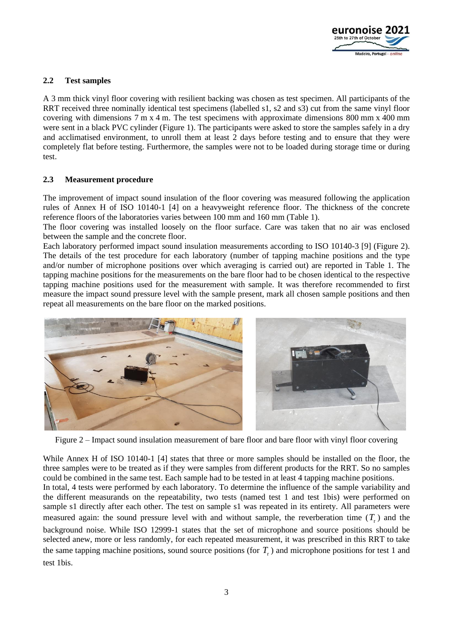

### **2.2 Test samples**

A 3 mm thick vinyl floor covering with resilient backing was chosen as test specimen. All participants of the RRT received three nominally identical test specimens (labelled s1, s2 and s3) cut from the same vinyl floor covering with dimensions 7 m x 4 m. The test specimens with approximate dimensions 800 mm x 400 mm were sent in a black PVC cylinder (Figure 1). The participants were asked to store the samples safely in a dry and acclimatised environment, to unroll them at least 2 days before testing and to ensure that they were completely flat before testing. Furthermore, the samples were not to be loaded during storage time or during test.

### **2.3 Measurement procedure**

The improvement of impact sound insulation of the floor covering was measured following the application rules of Annex H of ISO 10140-1 [4] on a heavyweight reference floor. The thickness of the concrete reference floors of the laboratories varies between 100 mm and 160 mm (Table 1).

The floor covering was installed loosely on the floor surface. Care was taken that no air was enclosed between the sample and the concrete floor.

Each laboratory performed impact sound insulation measurements according to ISO 10140-3 [9] (Figure 2). The details of the test procedure for each laboratory (number of tapping machine positions and the type and/or number of microphone positions over which averaging is carried out) are reported in Table 1. The tapping machine positions for the measurements on the bare floor had to be chosen identical to the respective tapping machine positions used for the measurement with sample. It was therefore recommended to first measure the impact sound pressure level with the sample present, mark all chosen sample positions and then repeat all measurements on the bare floor on the marked positions.



Figure 2 – Impact sound insulation measurement of bare floor and bare floor with vinyl floor covering

While Annex H of ISO 10140-1 [4] states that three or more samples should be installed on the floor, the three samples were to be treated as if they were samples from different products for the RRT. So no samples could be combined in the same test. Each sample had to be tested in at least 4 tapping machine positions. In total, 4 tests were performed by each laboratory. To determine the influence of the sample variability and the different measurands on the repeatability, two tests (named test 1 and test 1bis) were performed on sample s1 directly after each other. The test on sample s1 was repeated in its entirety. All parameters were measured again: the sound pressure level with and without sample, the reverberation time  $(T_r)$  and the background noise. While ISO 12999-1 states that the set of microphone and source positions should be selected anew, more or less randomly, for each repeated measurement, it was prescribed in this RRT to take the same tapping machine positions, sound source positions (for  $T<sub>r</sub>$ ) and microphone positions for test 1 and test 1bis.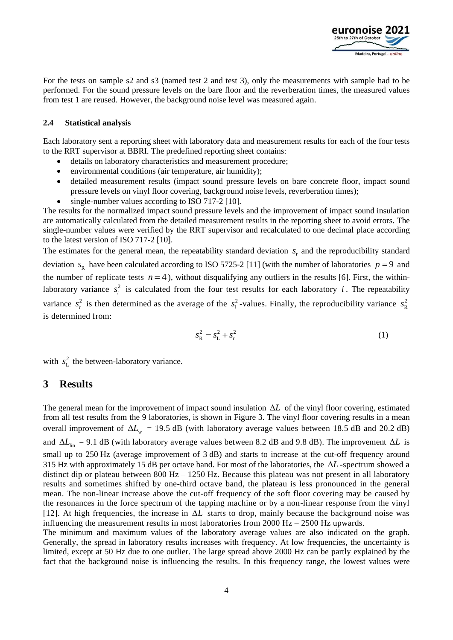

For the tests on sample s2 and s3 (named test 2 and test 3), only the measurements with sample had to be performed. For the sound pressure levels on the bare floor and the reverberation times, the measured values from test 1 are reused. However, the background noise level was measured again.

### **2.4 Statistical analysis**

Each laboratory sent a reporting sheet with laboratory data and measurement results for each of the four tests to the RRT supervisor at BBRI. The predefined reporting sheet contains:

- details on laboratory characteristics and measurement procedure;
- environmental conditions (air temperature, air humidity);
- detailed measurement results (impact sound pressure levels on bare concrete floor, impact sound pressure levels on vinyl floor covering, background noise levels, reverberation times);
- single-number values according to ISO 717-2 [10].

The results for the normalized impact sound pressure levels and the improvement of impact sound insulation are automatically calculated from the detailed measurement results in the reporting sheet to avoid errors. The single-number values were verified by the RRT supervisor and recalculated to one decimal place according to the latest version of ISO 717-2 [10].

The estimates for the general mean, the repeatability standard deviation  $s_r$  and the reproducibility standard deviation  $s_R$  have been calculated according to ISO 5725-2 [11] (with the number of laboratories  $p = 9$  and the number of replicate tests  $n = 4$ ), without disqualifying any outliers in the results [6]. First, the withinlaboratory variance  $s_i^2$  $s_i^2$  is calculated from the four test results for each laboratory *i*. The repeatability variance  $s_r^2$  $s_r^2$  is then determined as the average of the  $s_i^2$  $s_i^2$ -values. Finally, the reproducibility variance  $s_R^2$ R *s* is determined from:

$$
s_R^2 = s_L^2 + s_r^2 \tag{1}
$$

with  $s_1^2$  $s_L^2$  the between-laboratory variance.

# **3 Results**

The general mean for the improvement of impact sound insulation  $\Delta L$  of the vinyl floor covering, estimated from all test results from the 9 laboratories, is shown in Figure 3. The vinyl floor covering results in a mean overall improvement of  $\Delta L_{w}$  = 19.5 dB (with laboratory average values between 18.5 dB and 20.2 dB) and  $\Delta L_{\text{lin}} = 9.1$  dB (with laboratory average values between 8.2 dB and 9.8 dB). The improvement  $\Delta L$  is small up to 250 Hz (average improvement of 3 dB) and starts to increase at the cut-off frequency around 315 Hz with approximately 15 dB per octave band. For most of the laboratories, the  $\Delta L$ -spectrum showed a distinct dip or plateau between  $800 \text{ Hz} - 1250 \text{ Hz}$ . Because this plateau was not present in all laboratory results and sometimes shifted by one-third octave band, the plateau is less pronounced in the general mean. The non-linear increase above the cut-off frequency of the soft floor covering may be caused by the resonances in the force spectrum of the tapping machine or by a non-linear response from the vinyl [12]. At high frequencies, the increase in  $\Delta L$  starts to drop, mainly because the background noise was influencing the measurement results in most laboratories from  $2000 \text{ Hz} - 2500 \text{ Hz}$  upwards.

The minimum and maximum values of the laboratory average values are also indicated on the graph. Generally, the spread in laboratory results increases with frequency. At low frequencies, the uncertainty is limited, except at 50 Hz due to one outlier. The large spread above 2000 Hz can be partly explained by the fact that the background noise is influencing the results. In this frequency range, the lowest values were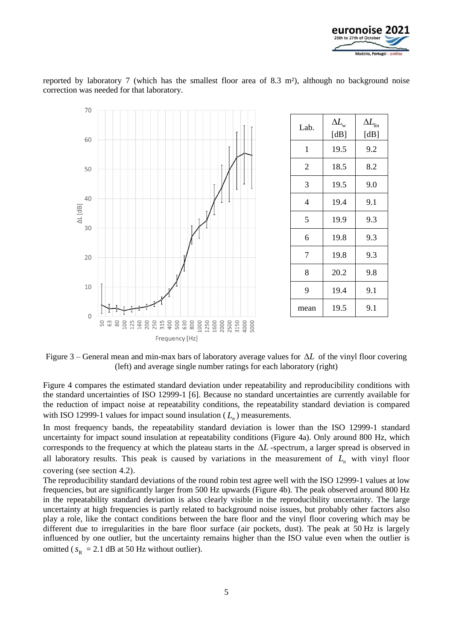



reported by laboratory 7 (which has the smallest floor area of 8.3 m²), although no background noise correction was needed for that laboratory.

Figure 3 – General mean and min-max bars of laboratory average values for  $\Delta L$  of the vinyl floor covering (left) and average single number ratings for each laboratory (right)

Figure 4 compares the estimated standard deviation under repeatability and reproducibility conditions with the standard uncertainties of ISO 12999-1 [6]. Because no standard uncertainties are currently available for the reduction of impact noise at repeatability conditions, the repeatability standard deviation is compared with ISO 12999-1 values for impact sound insulation  $(L_n)$  measurements.

In most frequency bands, the repeatability standard deviation is lower than the ISO 12999-1 standard uncertainty for impact sound insulation at repeatability conditions (Figure 4a). Only around 800 Hz, which corresponds to the frequency at which the plateau starts in the  $\Delta L$ -spectrum, a larger spread is observed in all laboratory results. This peak is caused by variations in the measurement of  $L_n$  with vinyl floor covering (see section 4.2).

The reproducibility standard deviations of the round robin test agree well with the ISO 12999-1 values at low frequencies, but are significantly larger from 500 Hz upwards (Figure 4b). The peak observed around 800 Hz in the repeatability standard deviation is also clearly visible in the reproducibility uncertainty. The large uncertainty at high frequencies is partly related to background noise issues, but probably other factors also play a role, like the contact conditions between the bare floor and the vinyl floor covering which may be different due to irregularities in the bare floor surface (air pockets, dust). The peak at 50 Hz is largely influenced by one outlier, but the uncertainty remains higher than the ISO value even when the outlier is omitted ( $s_R = 2.1$  dB at 50 Hz without outlier).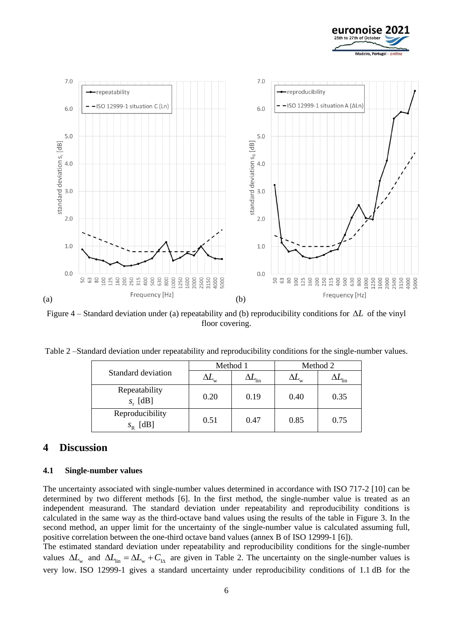



Figure  $4$  – Standard deviation under (a) repeatability and (b) reproducibility conditions for  $\Delta L$  of the vinyl floor covering.

| Table 2 -Standard deviation under repeatability and reproducibility conditions for the single-number values. |  |  |
|--------------------------------------------------------------------------------------------------------------|--|--|
|                                                                                                              |  |  |

|                                 |      | Method 1                  | Method 2 |                            |
|---------------------------------|------|---------------------------|----------|----------------------------|
| Standard deviation              |      | $\mathbf{u}_{\text{lin}}$ |          | $\mathcal{L}_{\text{lin}}$ |
| Repeatability<br>$S_r$ [dB]     | 0.20 | 0.19                      | 0.40     | 0.35                       |
| Reproducibility<br>$S_{R}$ [dB] | 0.51 | 0.47                      | 0.85     | 0.75                       |

# **4 Discussion**

### **4.1 Single-number values**

The uncertainty associated with single-number values determined in accordance with ISO 717-2 [10] can be determined by two different methods [6]. In the first method, the single-number value is treated as an independent measurand. The standard deviation under repeatability and reproducibility conditions is calculated in the same way as the third-octave band values using the results of the table in Figure 3. In the second method, an upper limit for the uncertainty of the single-number value is calculated assuming full, positive correlation between the one-third octave band values (annex B of ISO 12999-1 [6]).

The estimated standard deviation under repeatability and reproducibility conditions for the single-number values  $\Delta L_{w}$  and  $\Delta L_{lin} = \Delta L_{w} + C_{IA}$  are given in Table 2. The uncertainty on the single-number values is very low. ISO 12999-1 gives a standard uncertainty under reproducibility conditions of 1.1 dB for the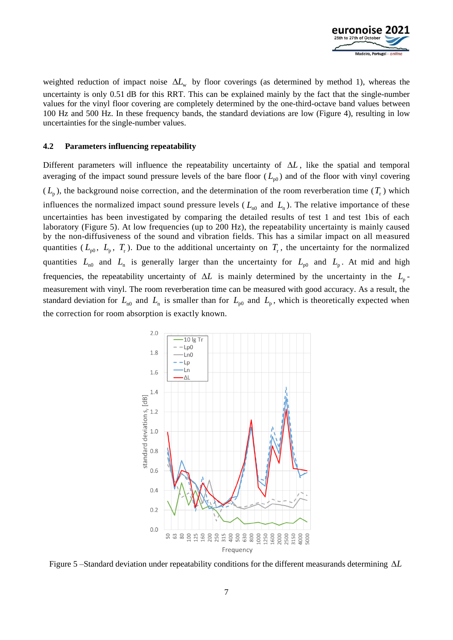

weighted reduction of impact noise  $\Delta L_{w}$  by floor coverings (as determined by method 1), whereas the uncertainty is only 0.51 dB for this RRT. This can be explained mainly by the fact that the single-number values for the vinyl floor covering are completely determined by the one-third-octave band values between 100 Hz and 500 Hz. In these frequency bands, the standard deviations are low (Figure 4), resulting in low uncertainties for the single-number values.

### **4.2 Parameters influencing repeatability**

Different parameters will influence the repeatability uncertainty of  $\Delta L$ , like the spatial and temporal averaging of the impact sound pressure levels of the bare floor  $(L_{p0})$  and of the floor with vinyl covering  $(L_p)$ , the background noise correction, and the determination of the room reverberation time  $(T_r)$  which influences the normalized impact sound pressure levels ( $L_{n0}$  and  $L_{n}$ ). The relative importance of these uncertainties has been investigated by comparing the detailed results of test 1 and test 1bis of each laboratory (Figure 5). At low frequencies (up to 200 Hz), the repeatability uncertainty is mainly caused by the non-diffusiveness of the sound and vibration fields. This has a similar impact on all measured quantities ( $L_{p0}$ ,  $L_{p}$ ,  $T_{r}$ ). Due to the additional uncertainty on  $T_{r}$ , the uncertainty for the normalized quantities  $L_{n0}$  and  $L_n$  is generally larger than the uncertainty for  $L_{p0}$  and  $L_p$ . At mid and high frequencies, the repeatability uncertainty of  $\Delta L$  is mainly determined by the uncertainty in the  $L_{p}$ measurement with vinyl. The room reverberation time can be measured with good accuracy. As a result, the standard deviation for  $L_{\text{n}0}$  and  $L_{\text{n}}$  is smaller than for  $L_{\text{p}0}$  and  $L_{\text{p}}$ , which is theoretically expected when the correction for room absorption is exactly known.



Figure 5 –Standard deviation under repeatability conditions for the different measurands determining *L*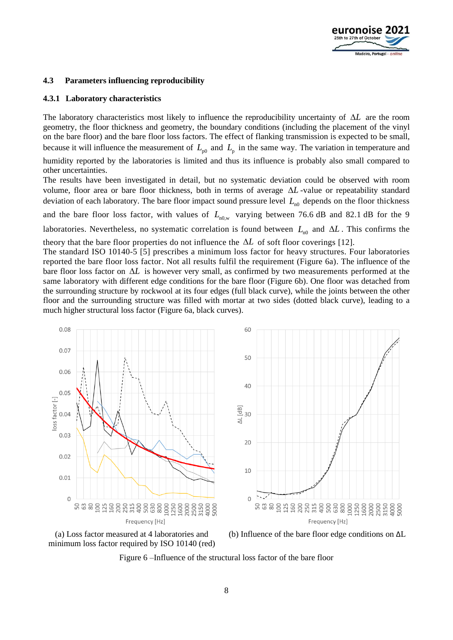

### **4.3 Parameters influencing reproducibility**

#### **4.3.1 Laboratory characteristics**

The laboratory characteristics most likely to influence the reproducibility uncertainty of  $\Delta L$  are the room geometry, the floor thickness and geometry, the boundary conditions (including the placement of the vinyl on the bare floor) and the bare floor loss factors. The effect of flanking transmission is expected to be small, because it will influence the measurement of  $L_{p0}$  and  $L_{p}$  in the same way. The variation in temperature and

humidity reported by the laboratories is limited and thus its influence is probably also small compared to other uncertainties.

The results have been investigated in detail, but no systematic deviation could be observed with room volume, floor area or bare floor thickness, both in terms of average  $\Delta L$ -value or repeatability standard deviation of each laboratory. The bare floor impact sound pressure level  $L_{n0}$  depends on the floor thickness and the bare floor loss factor, with values of  $L_{n0,w}$  varying between 76.6 dB and 82.1 dB for the 9 laboratories. Nevertheless, no systematic correlation is found between  $L_{n0}$  and  $\Delta L$ . This confirms the theory that the bare floor properties do not influence the  $\Delta L$  of soft floor coverings [12].

The standard ISO 10140-5 [5] prescribes a minimum loss factor for heavy structures. Four laboratories reported the bare floor loss factor. Not all results fulfil the requirement (Figure 6a). The influence of the bare floor loss factor on  $\Delta L$  is however very small, as confirmed by two measurements performed at the same laboratory with different edge conditions for the bare floor (Figure 6b). One floor was detached from the surrounding structure by rockwool at its four edges (full black curve), while the joints between the other floor and the surrounding structure was filled with mortar at two sides (dotted black curve), leading to a much higher structural loss factor (Figure 6a, black curves).



(a) Loss factor measured at 4 laboratories and minimum loss factor required by ISO 10140 (red)



Figure 6 –Influence of the structural loss factor of the bare floor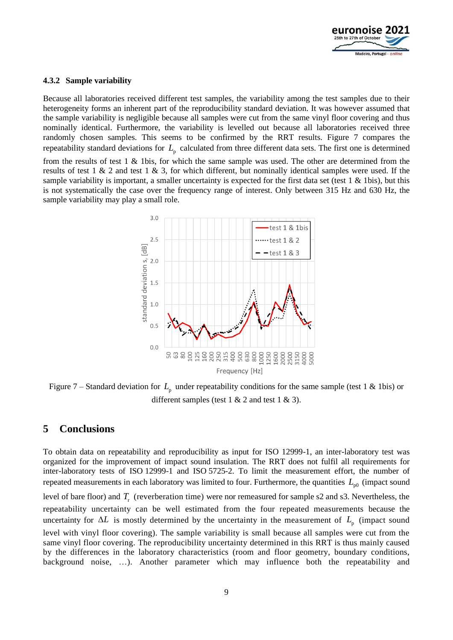

### **4.3.2 Sample variability**

Because all laboratories received different test samples, the variability among the test samples due to their heterogeneity forms an inherent part of the reproducibility standard deviation. It was however assumed that the sample variability is negligible because all samples were cut from the same vinyl floor covering and thus nominally identical. Furthermore, the variability is levelled out because all laboratories received three randomly chosen samples. This seems to be confirmed by the RRT results. Figure 7 compares the repeatability standard deviations for  $L_{p}$  calculated from three different data sets. The first one is determined

from the results of test 1 & 1bis, for which the same sample was used. The other are determined from the results of test  $1 \& 2$  and test  $1 \& 3$ , for which different, but nominally identical samples were used. If the sample variability is important, a smaller uncertainty is expected for the first data set (test  $1 \& 1 \text{ bis}$ ), but this is not systematically the case over the frequency range of interest. Only between 315 Hz and 630 Hz, the sample variability may play a small role.



Figure 7 – Standard deviation for  $L_{\rm p}$  under repeatability conditions for the same sample (test 1 & 1bis) or different samples (test  $1 \& 2$  and test  $1 \& 3$ ).

### **5 Conclusions**

To obtain data on repeatability and reproducibility as input for ISO 12999-1, an inter-laboratory test was organized for the improvement of impact sound insulation. The RRT does not fulfil all requirements for inter-laboratory tests of ISO 12999-1 and ISO 5725-2. To limit the measurement effort, the number of repeated measurements in each laboratory was limited to four. Furthermore, the quantities  $L_{p0}$  (impact sound level of bare floor) and  $T_r$  (reverberation time) were nor remeasured for sample s2 and s3. Nevertheless, the repeatability uncertainty can be well estimated from the four repeated measurements because the uncertainty for  $\Delta L$  is mostly determined by the uncertainty in the measurement of  $L_{p}$  (impact sound level with vinyl floor covering). The sample variability is small because all samples were cut from the same vinyl floor covering. The reproducibility uncertainty determined in this RRT is thus mainly caused by the differences in the laboratory characteristics (room and floor geometry, boundary conditions, background noise, …). Another parameter which may influence both the repeatability and